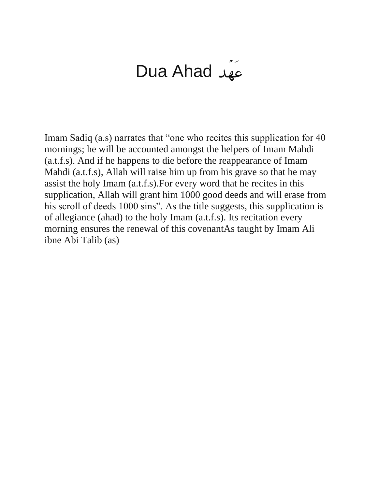## Dua Ahad

Imam Sadiq (a.s) narrates that "one who recites this supplication for 40 mornings; he will be accounted amongst the helpers of Imam Mahdi (a.t.f.s). And if he happens to die before the reappearance of Imam Mahdi (a.t.f.s), Allah will raise him up from his grave so that he may assist the holy Imam (a.t.f.s).For every word that he recites in this supplication, Allah will grant him 1000 good deeds and will erase from his scroll of deeds 1000 sins". As the title suggests, this supplication is of allegiance (ahad) to the holy Imam (a.t.f.s). Its recitation every morning ensures the renewal of this covenantAs taught by Imam Ali ibne Abi Talib (as)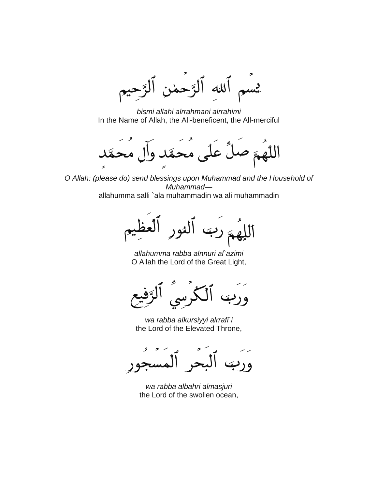$d\mathcal{U}$ الوَّحمٰن پس

*bismi allahi alrrahmani alrrahimi* In the Name of Allah, the All-beneficent, the All-merciful

 $\blacktriangleright$ 

*O Allah: (please do) send blessings upon Muhammad and the Household of Muhammad* allahumma salli `ala muhammadin wa ali muhammadin

*allahumma rabba alnnuri al`azimi* O Allah the Lord of the Great Light,

*wa rabba alkursiyyi alrrafi`i* the Lord of the Elevated Throne,

*wa rabba albahri almasjuri* the Lord of the swollen ocean,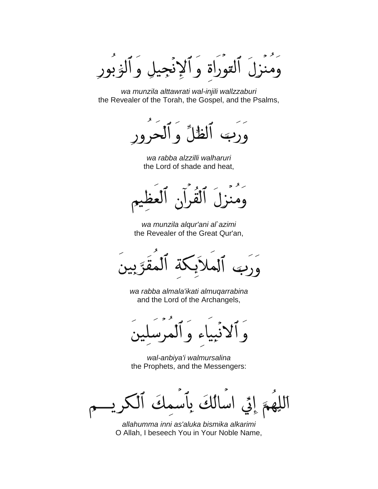و آلږ بور القوراة و

*wa munzila alttawrati wal-injili wallzzaburi* the Revealer of the Torah, the Gospel, and the Psalms,

لظاء  $\overline{a}$ 

*wa rabba alzzilli walharuri* the Lord of shade and heat,

*wa munzila alqur'ani al`azimi* the Revealer of the Great Qur'an,

*wa rabba almala'ikati almuqarrabina* and the Lord of the Archangels,

*wal-anbiya'i walmursalina* the Prophets, and the Messengers:

 $\mathcal{S}$  $\mathcal{L}$ 

*allahumma inni as'aluka bismika alkarimi* O Allah, I beseech You in Your Noble Name,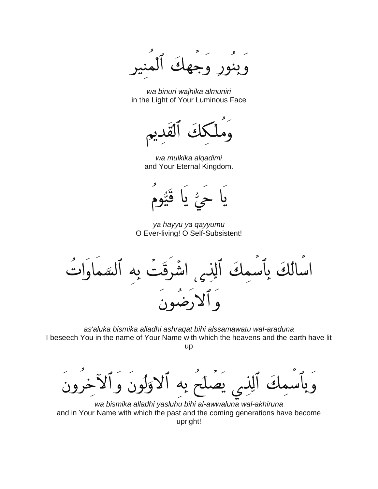وْبِنُورٍ وَجِهِكَ

*wa binuri wajhika almuniri* in the Light of Your Luminous Face

 $\sqrt{s}$ 

*wa mulkika alqadimi* and Your Eternal Kingdom.



*ya hayyu ya qayyumu* O Ever-living! O Self-Subsistent!

اسالُكَ بِٱسمِكَ ٱلِذِ<sub>ى</sub> اشْ رقّب ، به وَ أَلاَدِضُو

*as'aluka bismika alladhi ashraqat bihi alssamawatu wal-araduna* I beseech You in the name of Your Name with which the heavens and the earth have lit up

الاولون وا بصلح به  $\mathbf{1}$ 

*wa bismika alladhi yasluhu bihi al-awwaluna wal-akhiruna* and in Your Name with which the past and the coming generations have become upright!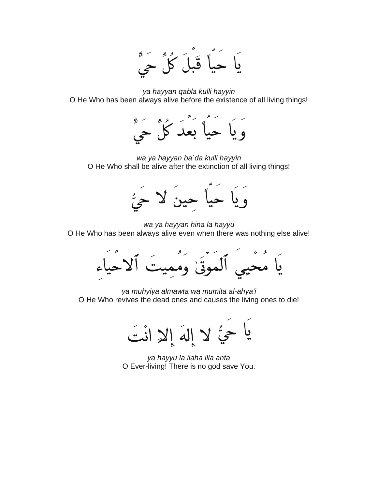

*ya hayyan qabla kulli hayyin* O He Who has been always alive before the existence of all living things!



*wa ya hayyan ba`da kulli hayyin* O He Who shall be alive after the extinction of all living things!



*wa ya hayyan hina la hayyu* O He Who has been always alive even when there was nothing else alive!



*ya muhyiya almawta wa mumita al-ahya'i* O He Who revives the dead ones and causes the living ones to die!

يا حيُّ لا إِلهَ إِلا انْتَ

*ya hayyu la ilaha illa anta* O Ever-living! There is no god save You.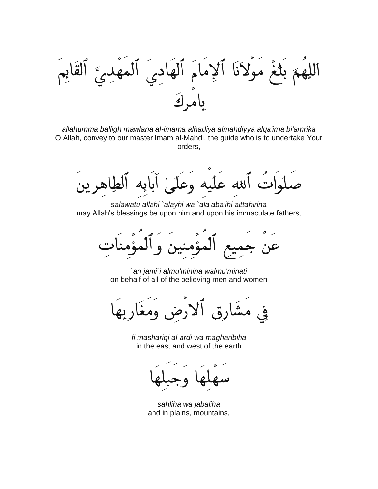اللِهُمَ بَلْغَ مَوۡلاَنَا ٱلاِمَامَ ٱلۡهَ ألقايم المهدي

*allahumma balligh mawlana al-imama alhadiya almahdiyya alqa'ima bi'amrika* O Allah, convey to our master Imam al-Mahdi, the guide who is to undertake Your orders,

اتٌ أَلله عَلَيه وَعَلَىٰ أَبَابِه ٱلطَّاهِ بِدِ

*salawatu allahi `alayhi wa `ala aba'ihi alttahirina* may Allah's blessings be upon him and upon his immaculate fathers,

المؤمنين و المؤمنا عن

*`an jami`i almu'minina walmu'minati* on behalf of all of the believing men and women

رُضِ وَمَغَارِبِهِ .<br>چي

*fi mashariqi al-ardi wa magharibiha* in the east and west of the earth

*sahliha wa jabaliha* and in plains, mountains,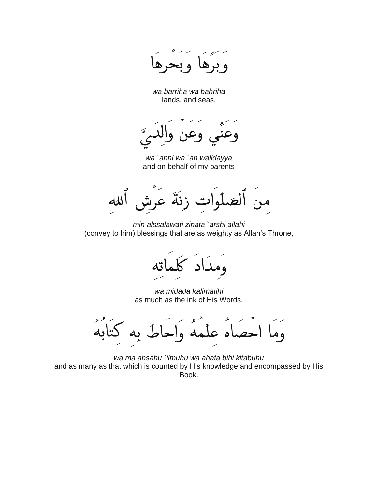*wa barriha wa bahriha* lands, and seas,

و ح

*wa `anni wa `an walidayya* and on behalf of my parents

زنةً عر  $d\mathcal{U}$ الصد من

*min alssalawati zinata `arshi allahi* (convey to him) blessings that are as weighty as Allah's Throne,

*wa midada kalimatihi* as much as the ink of His Words,

**g** وما اىە do  $\overline{\mathbf{A}}$ ىم ه ا  $\mathbf{C}$  $\mathsf{d}$ 

*wa ma ahsahu `ilmuhu wa ahata bihi kitabuhu* and as many as that which is counted by His knowledge and encompassed by His Book.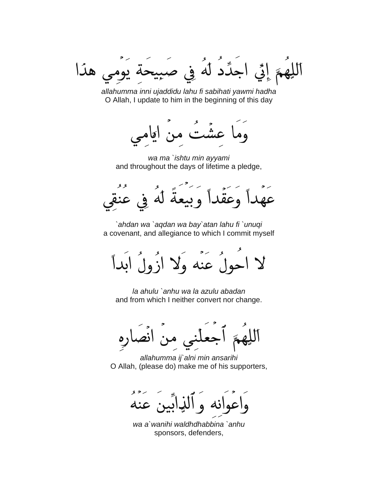اجَدَّدُ لَهُ فِي صبيحة يوه إِمَّى ي هذا

*allahumma inni ujaddidu lahu fi sabihati yawmi hadha* O Allah, I update to him in the beginning of this day



*wa ma `ishtu min ayyami* and throughout the days of lifetime a pledge,

٠ عقْداً وبيعةً له في

*`ahdan wa `aqdan wa bay`atan lahu fi `unuqi* a covenant, and allegiance to which I commit myself

احولَ عنه ولا إنَّهلَ إبداً

*la ahulu `anhu wa la azulu abadan* and from which I neither convert nor change.

انصاره

*allahumma ij`alni min ansarihi* O Allah, (please do) make me of his supporters,

نيابين عنه نه

*wa a`wanihi waldhdhabbina `anhu* sponsors, defenders,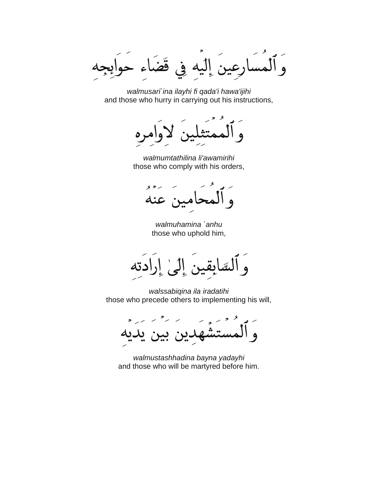قْضُ في  $\overline{c}$ 

*walmusari`ina ilayhi fi qada'i hawa'ijihi* and those who hurry in carrying out his instructions,

*walmumtathilina li'awamirihi* those who comply with his orders,

 $82-$ عنه مبن

*walmuhamina `anhu* those who uphold him,

ٰ نَفَ يكتبر ادته ه ا

*walssabiqina ila iradatihi* those who precede others to implementing his will,

ن يد

*walmustashhadina bayna yadayhi* and those who will be martyred before him.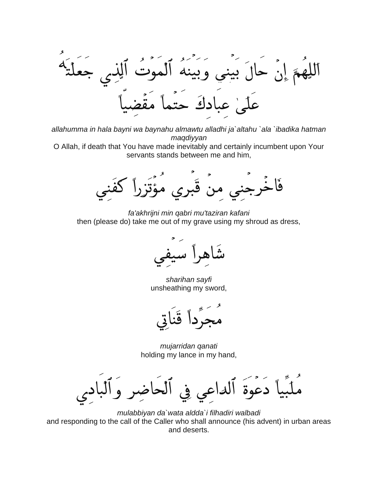إِنْ حَالَ بَيني وَبَينَهُ ٱلْمَوْ  $\mathbf{\tilde{C}}$ دك

*allahumma in hala bayni wa baynahu almawtu alladhi ja`altahu `ala `ibadika hatman maqdiyyan*

O Allah, if death that You have made inevitably and certainly incumbent upon Your servants stands between me and him,

قَبري مؤَتَز فَا نرجني من

*fa'akhrijni min qabri mu'taziran kafani* then (please do) take me out of my grave using my shroud as dress,

شاه آ سا

*sharihan sayfi* unsheathing my sword,

*mujarridan qanati* holding my lance in my hand,

دعوة الداعه ۏٝ

*mulabbiyan da`wata aldda`i filhadiri walbadi* and responding to the call of the Caller who shall announce (his advent) in urban areas and deserts.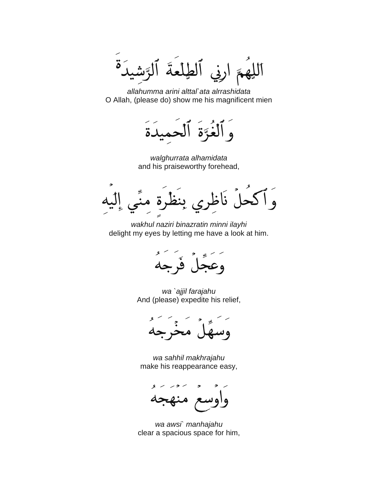لْمَةَ پهو ارنې

*allahumma arini alttal`ata alrrashidata* O Allah, (please do) show me his magnificent mien

لغوّة الحميدة

*walghurrata alhamidata* and his praiseworthy forehead,

نَاخ وْ آك  $\ddot{\delta}$  .

*wakhul naziri binazratin minni ilayhi* delight my eyes by letting me have a look at him.



*wa `ajjil farajahu* And (please) expedite his relief,

مح

*wa sahhil makhrajahu* make his reappearance easy,



*wa awsi` manhajahu* clear a spacious space for him,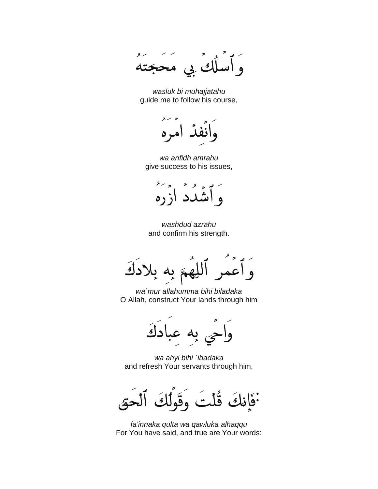$\mathcal{S}$ لك بي محجّت

*wasluk bi muhajjatahu* guide me to follow his course,

 $\mathcal{R}$ 

*wa anfidh amrahu* give success to his issues,



*washdud azrahu* and confirm his strength.

بلادك و اء بە

*wa`mur allahumma bihi biladaka* O Allah, construct Your lands through him

به عبادكَ

*wa ahyi bihi `ibadaka* and refresh Your servants through him,

فَأَنِكَ قُلْتَ

*fa'innaka qulta wa qawluka alhaqqu* For You have said, and true are Your words: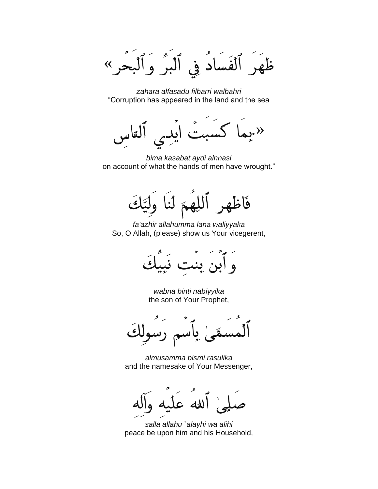ظَهَرَ ٱلْفَسَادُ فِي ٱلْبَرَّ وَٱلْبَحْرِ «

*zahara alfasadu filbarri walbahri* "Corruption has appeared in the land and the sea

 $\overline{\mathbf{C}}$ .»

*bima kasabat aydi alnnasi* on account of what the hands of men have wrought."

فَاظْهِرِ ٱللِّهِمَّ لَنَا لتَلْقَى

*fa'azhir allahumma lana waliyyaka* So, O Allah, (please) show us Your vicegerent,



*wabna binti nabiyyika* the son of Your Prophet,

*almusamma bismi rasulika* and the namesake of Your Messenger,

*salla allahu `alayhi wa alihi* peace be upon him and his Household,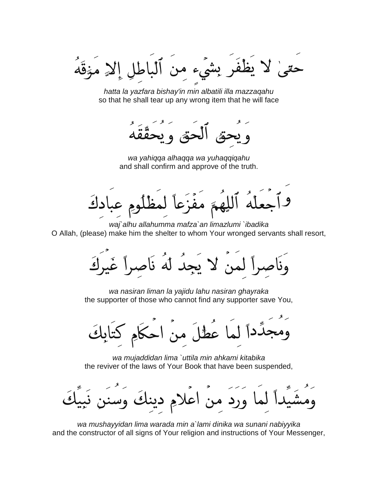يظْفَرِ بِشَيءٍ من ٱلباطلِ إلا مَنْقَهُ

*hatta la yazfara bishay'in min albatili illa mazzaqahu* so that he shall tear up any wrong item that he will face

۔<br>حق*تہ* و ب

*wa yahiqqa alhaqqa wa yuhaqqiqahu* and shall confirm and approve of the truth.

لِهِمَّ مفَزَعاً لمظ دك

*waj`alhu allahumma mafza`an limazlumi `ibadika* O Allah, (please) make him the shelter to whom Your wronged servants shall resort,

وَنَاصِراً لَمَنْ لا يَجِدُ لَهُ نَاصِراً غَيرَ

*wa nasiran liman la yajidu lahu nasiran ghayraka* the supporter of those who cannot find any supporter save You,

لِّداً لما عَطُلَ منَ احكَامِ كِتَابِكَ

*wa mujaddidan lima `uttila min ahkami kitabika* the reviver of the laws of Your Book that have been suspended,

ورد من اعلامِ دينكَ وِس

*wa mushayyidan lima warada min a`lami dinika wa sunani nabiyyika* and the constructor of all signs of Your religion and instructions of Your Messenger,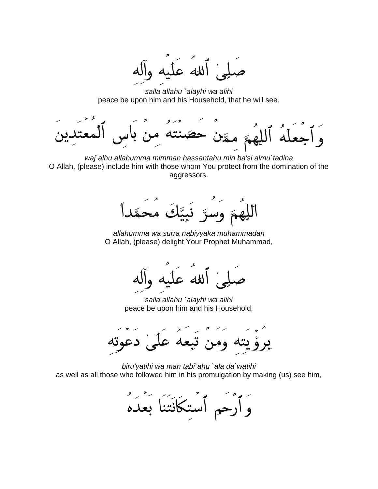إ الله عليه و

*salla allahu `alayhi wa alihi* peace be upon him and his Household, that he will see.

۾ مڱن حصّنته من des

*waj`alhu allahumma mimman hassantahu min ba'si almu`tadina* O Allah, (please) include him with those whom You protect from the domination of the aggressors.

اللَّهُمَّ وَسُرَّ نَبِيَّكَ مَعَ

*allahumma wa surra nabiyyaka muhammadan* O Allah, (please) delight Your Prophet Muhammad,

الله عذ

*salla allahu `alayhi wa alihi* peace be upon him and his Household,

علىٰ دعوته ومن تبعه

*biru'yatihi wa man tabi`ahu `ala da`watihi* as well as all those who followed him in his promulgation by making (us) see him,

وَأَرْحَمِ ٱسْتكَانَتَنَا بَعْدَهُ